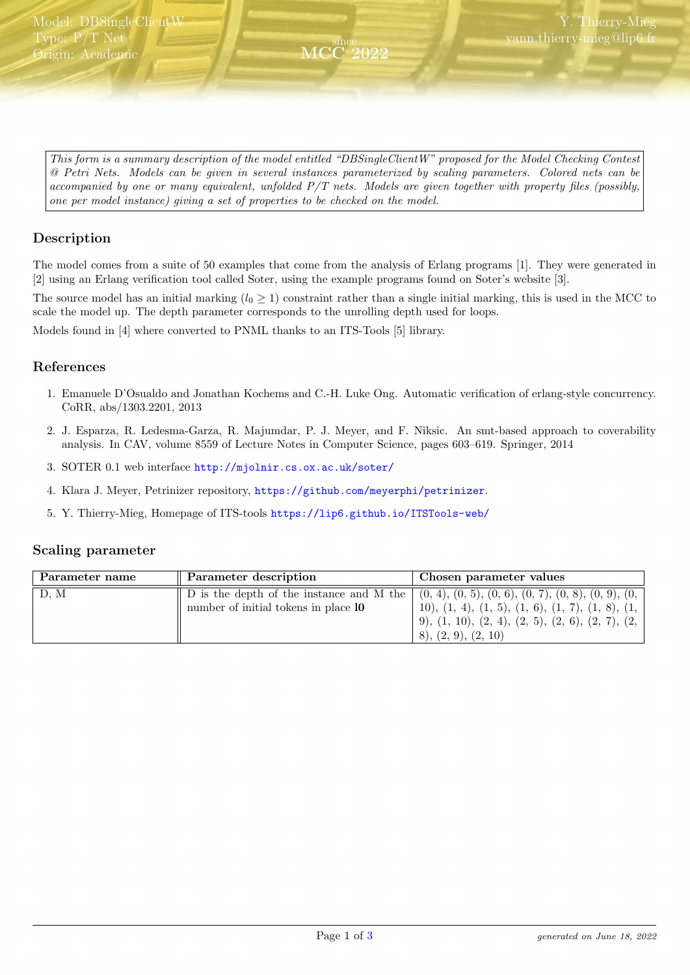<span id="page-0-0"></span>This form is a summary description of the model entitled "DBSingleClientW" proposed for the Model Checking Contest @ Petri Nets. Models can be given in several instances parameterized by scaling parameters. Colored nets can be accompanied by one or many equivalent, unfolded P/T nets. Models are given together with property files (possibly, one per model instance) giving a set of properties to be checked on the model.

since MCC 2022

# Description

The model comes from a suite of 50 examples that come from the analysis of Erlang programs [1]. They were generated in [2] using an Erlang verification tool called Soter, using the example programs found on Soter's website [3].

The source model has an initial marking  $(l_0 \geq 1)$  constraint rather than a single initial marking, this is used in the MCC to scale the model up. The depth parameter corresponds to the unrolling depth used for loops.

Models found in [4] where converted to PNML thanks to an ITS-Tools [5] library.

#### References

- 1. Emanuele D'Osualdo and Jonathan Kochems and C.-H. Luke Ong. Automatic verification of erlang-style concurrency. CoRR, abs/1303.2201, 2013
- 2. J. Esparza, R. Ledesma-Garza, R. Majumdar, P. J. Meyer, and F. Niksic. An smt-based approach to coverability analysis. In CAV, volume 8559 of Lecture Notes in Computer Science, pages 603–619. Springer, 2014
- 3. SOTER 0.1 web interface <http://mjolnir.cs.ox.ac.uk/soter/>
- 4. Klara J. Meyer, Petrinizer repository, <https://github.com/meyerphi/petrinizer>.
- 5. Y. Thierry-Mieg, Homepage of ITS-tools <https://lip6.github.io/ITSTools-web/>

#### Scaling parameter

| Parameter name | Parameter description                                                                                                                     | Chosen parameter values                                                                                                                                          |
|----------------|-------------------------------------------------------------------------------------------------------------------------------------------|------------------------------------------------------------------------------------------------------------------------------------------------------------------|
| D.M            | D is the depth of the instance and M the $(0, 4), (0, 5), (0, 6), (0, 7), (0, 8), (0, 9), (0, 6)$<br>number of initial tokens in place 10 | 10), $(1, 4)$ , $(1, 5)$ , $(1, 6)$ , $(1, 7)$ , $(1, 8)$ , $(1,$<br>$(9)$ , $(1, 10)$ , $(2, 4)$ , $(2, 5)$ , $(2, 6)$ , $(2, 7)$ , $(2, 7)$<br>(2, 9), (2, 10) |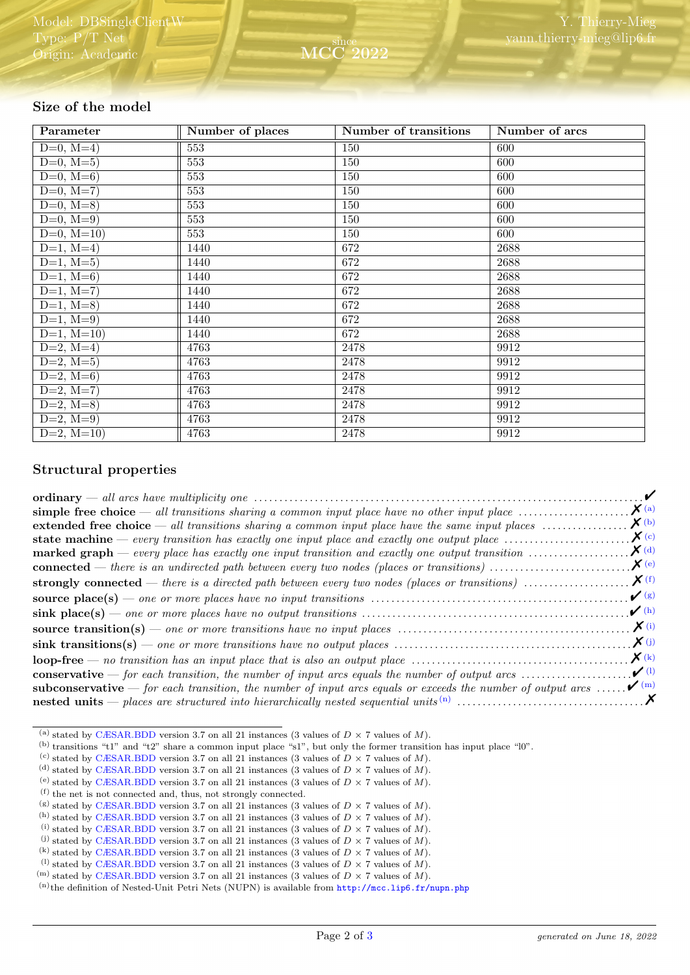# Size of the model

| Parameter               | Number of places | Number of transitions | Number of arcs |
|-------------------------|------------------|-----------------------|----------------|
| $D=0, M=4)$             | 553              | 150                   | 600            |
| $D=0, M=5)$             | 553              | 150                   | 600            |
| $D=0, M=6$              | 553              | 150                   | 600            |
| $D=0, M=7$              | 553              | 150                   | 600            |
| $D=0, M=8$              | 553              | 150                   | 600            |
| $D=0, M=9)$             | 553              | 150                   | 600            |
| $D=0, M=10$             | 553              | 150                   | 600            |
| $D=1, M=4)$             | 1440             | 672                   | 2688           |
| $D=1, M=5)$             | 1440             | 672                   | 2688           |
| $D=1, M=6$              | 1440             | 672                   | 2688           |
| $D=1, M=7$              | 1440             | 672                   | 2688           |
| $D=1, M=8$              | 1440             | 672                   | 2688           |
| $\overline{D=1}$ , M=9) | 1440             | 672                   | 2688           |
| $D=1, M=10$             | 1440             | 672                   | 2688           |
| $D=2, M=4$              | 4763             | 2478                  | 9912           |
| $D=2, M=5)$             | 4763             | 2478                  | 9912           |
| $D=2, M=6$              | 4763             | 2478                  | 9912           |
| $D=2, \overline{M=7}$   | 4763             | 2478                  | 9912           |
| $D=2, M=8$              | 4763             | 2478                  | 9912           |
| $D=2, M=9$              | 4763             | 2478                  | 9912           |
| $D=2, M=10$             | 4763             | 2478                  | 9912           |

### Structural properties

|                                                                                                                                                                    | $\boldsymbol{\mathcal{U}}$        |
|--------------------------------------------------------------------------------------------------------------------------------------------------------------------|-----------------------------------|
| simple free choice — all transitions sharing a common input place have no other input place $\dots\dots\dots\dots\dots\dots\dots$                                  | $\boldsymbol{X}$ (a)              |
| extended free choice $-$ all transitions sharing a common input place have the same input places $\dots\dots\dots\dots\dots$                                       | $\boldsymbol{X}$ (b)              |
| <b>state machine</b> — every transition has exactly one input place and exactly one output place $\dots\dots\dots\dots\dots\dots\dots$                             | $\boldsymbol{X}$ (c)              |
| <b>marked graph</b> — every place has exactly one input transition and exactly one output transition $\dots\dots\dots\dots\dots$                                   | $\mathbf{X}^{(d)}$                |
|                                                                                                                                                                    | $\mathbf{X}^{(e)}$                |
|                                                                                                                                                                    |                                   |
| <b>source place(s)</b> — one or more places have no input transitions $\ldots \ldots \ldots \ldots \ldots \ldots \ldots \ldots \ldots \ldots \ldots \ldots \ldots$ | $\mathcal{V}(g)$                  |
|                                                                                                                                                                    | $\mathcal{V}$ (h)                 |
| <b>source transition(s)</b> — one or more transitions have no input places $\dots \dots \dots \dots \dots \dots \dots \dots \dots \dots \dots \dots \dots$         | $\mathbf{X}^{(i)}$                |
|                                                                                                                                                                    | $\boldsymbol{X}(j)$               |
| $loop-free \t- no transition has an input place that is also an output place \t \t \t \t \t \t$                                                                    | $\mathbf{X}$ (k)                  |
| <b>conservative</b> — for each transition, the number of input arcs equals the number of output arcs $\dots\dots\dots\dots\dots\dots$                              | $\boldsymbol{\nu}$ <sup>(1)</sup> |
| <b>subconservative</b> — for each transition, the number of input arcs equals or exceeds the number of output arcs                                                 | $\sqrt{m}$                        |
|                                                                                                                                                                    |                                   |

<span id="page-1-0"></span><sup>(</sup>a) stated by [CÆSAR.BDD](http://cadp.inria.fr/man/caesar.bdd.html) version 3.7 on all 21 instances (3 values of  $D \times 7$  values of M).

<span id="page-1-1"></span> $(b)$  transitions "t1" and "t2" share a common input place "s1", but only the former transition has input place "l0".

<span id="page-1-2"></span><sup>(</sup>c) stated by [CÆSAR.BDD](http://cadp.inria.fr/man/caesar.bdd.html) version 3.7 on all 21 instances (3 values of  $D \times 7$  values of M).

<span id="page-1-3"></span><sup>(</sup>d) stated by [CÆSAR.BDD](http://cadp.inria.fr/man/caesar.bdd.html) version 3.7 on all 21 instances (3 values of  $D \times 7$  values of M).

<span id="page-1-4"></span><sup>(</sup>e) stated by [CÆSAR.BDD](http://cadp.inria.fr/man/caesar.bdd.html) version 3.7 on all 21 instances (3 values of  $D \times 7$  values of M).

<span id="page-1-5"></span><sup>(</sup>f) the net is not connected and, thus, not strongly connected.

<span id="page-1-7"></span><span id="page-1-6"></span><sup>(</sup>g) stated by [CÆSAR.BDD](http://cadp.inria.fr/man/caesar.bdd.html) version 3.7 on all 21 instances (3 values of  $D \times 7$  values of M). <sup>(h)</sup> stated by [CÆSAR.BDD](http://cadp.inria.fr/man/caesar.bdd.html) version 3.7 on all 21 instances (3 values of  $D \times 7$  values of M).

<span id="page-1-8"></span><sup>(</sup>i) stated by [CÆSAR.BDD](http://cadp.inria.fr/man/caesar.bdd.html) version 3.7 on all 21 instances (3 values of  $D \times 7$  values of M).

<span id="page-1-9"></span><sup>(</sup>i) stated by [CÆSAR.BDD](http://cadp.inria.fr/man/caesar.bdd.html) version 3.7 on all 21 instances (3 values of  $D \times 7$  values of M).

<span id="page-1-10"></span><sup>(</sup>k) stated by [CÆSAR.BDD](http://cadp.inria.fr/man/caesar.bdd.html) version 3.7 on all 21 instances (3 values of  $D \times 7$  values of M).

<span id="page-1-11"></span><sup>&</sup>lt;sup>(1)</sup> stated by [CÆSAR.BDD](http://cadp.inria.fr/man/caesar.bdd.html) version 3.7 on all 21 instances (3 values of  $D \times 7$  values of M).

<span id="page-1-12"></span> $^{(m)}$  stated by [CÆSAR.BDD](http://cadp.inria.fr/man/caesar.bdd.html) version 3.7 on all 21 instances (3 values of  $D \times 7$  values of M).

<span id="page-1-13"></span> $(n)$ the definition of Nested-Unit Petri Nets (NUPN) is available from <http://mcc.lip6.fr/nupn.php>